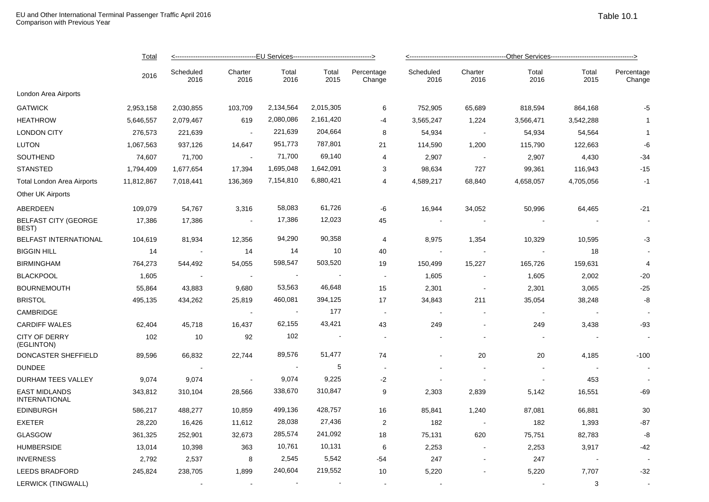|                                              | Total<br>2016 |                   |                 |                          |                          |                      |                   |                 |               |                          |                      |  |
|----------------------------------------------|---------------|-------------------|-----------------|--------------------------|--------------------------|----------------------|-------------------|-----------------|---------------|--------------------------|----------------------|--|
|                                              |               | Scheduled<br>2016 | Charter<br>2016 | Total<br>2016            | Total<br>2015            | Percentage<br>Change | Scheduled<br>2016 | Charter<br>2016 | Total<br>2016 | Total<br>2015            | Percentage<br>Change |  |
| London Area Airports                         |               |                   |                 |                          |                          |                      |                   |                 |               |                          |                      |  |
| <b>GATWICK</b>                               | 2,953,158     | 2,030,855         | 103,709         | 2,134,564                | 2,015,305                | 6                    | 752,905           | 65,689          | 818,594       | 864,168                  | $-5$                 |  |
| <b>HEATHROW</b>                              | 5,646,557     | 2,079,467         | 619             | 2,080,086                | 2,161,420                | $-4$                 | 3,565,247         | 1,224           | 3,566,471     | 3,542,288                | -1                   |  |
| <b>LONDON CITY</b>                           | 276,573       | 221,639           |                 | 221,639                  | 204,664                  | 8                    | 54,934            | $\sim$          | 54,934        | 54,564                   | $\mathbf 1$          |  |
| <b>LUTON</b>                                 | 1,067,563     | 937,126           | 14,647          | 951,773                  | 787,801                  | 21                   | 114,590           | 1,200           | 115,790       | 122,663                  | -6                   |  |
| SOUTHEND                                     | 74,607        | 71,700            | $\sim$          | 71,700                   | 69,140                   | 4                    | 2,907             | $\sim$ $-$      | 2,907         | 4,430                    | $-34$                |  |
| <b>STANSTED</b>                              | 1,794,409     | 1,677,654         | 17,394          | 1,695,048                | 1,642,091                | 3                    | 98,634            | 727             | 99,361        | 116,943                  | $-15$                |  |
| <b>Total London Area Airports</b>            | 11,812,867    | 7,018,441         | 136,369         | 7,154,810                | 6,880,421                | $\overline{4}$       | 4,589,217         | 68,840          | 4,658,057     | 4,705,056                | $-1$                 |  |
| Other UK Airports                            |               |                   |                 |                          |                          |                      |                   |                 |               |                          |                      |  |
| ABERDEEN                                     | 109,079       | 54,767            | 3,316           | 58,083                   | 61,726                   | -6                   | 16,944            | 34,052          | 50,996        | 64,465                   | $-21$                |  |
| <b>BELFAST CITY (GEORGE</b><br>BEST)         | 17,386        | 17,386            | $\sim$          | 17,386                   | 12,023                   | 45                   | $\blacksquare$    |                 |               |                          |                      |  |
| <b>BELFAST INTERNATIONAL</b>                 | 104,619       | 81,934            | 12,356          | 94,290                   | 90,358                   | 4                    | 8,975             | 1,354           | 10,329        | 10,595                   | -3                   |  |
| <b>BIGGIN HILL</b>                           | 14            |                   | 14              | 14                       | 10                       | 40                   |                   |                 |               | 18                       |                      |  |
| <b>BIRMINGHAM</b>                            | 764,273       | 544,492           | 54,055          | 598,547                  | 503,520                  | 19                   | 150,499           | 15,227          | 165,726       | 159,631                  | $\overline{4}$       |  |
| <b>BLACKPOOL</b>                             | 1,605         |                   | $\sim$          |                          |                          | $\blacksquare$       | 1,605             | $\sim$          | 1,605         | 2,002                    | $-20$                |  |
| <b>BOURNEMOUTH</b>                           | 55,864        | 43,883            | 9,680           | 53,563                   | 46,648                   | 15                   | 2,301             | $\blacksquare$  | 2,301         | 3,065                    | $-25$                |  |
| <b>BRISTOL</b>                               | 495,135       | 434,262           | 25,819          | 460,081                  | 394,125                  | 17                   | 34,843            | 211             | 35,054        | 38,248                   | -8                   |  |
| CAMBRIDGE                                    |               |                   | $\sim$          | $\sim$                   | 177                      | $\blacksquare$       |                   |                 |               |                          |                      |  |
| <b>CARDIFF WALES</b>                         | 62,404        | 45,718            | 16,437          | 62,155                   | 43,421                   | 43                   | 249               | $\blacksquare$  | 249           | 3,438                    | -93                  |  |
| <b>CITY OF DERRY</b><br>(EGLINTON)           | 102           | 10                | 92              | 102                      | $\overline{\phantom{a}}$ | $\blacksquare$       |                   |                 |               | $\overline{\phantom{a}}$ |                      |  |
| DONCASTER SHEFFIELD                          | 89,596        | 66,832            | 22,744          | 89,576                   | 51,477                   | 74                   |                   | 20              | 20            | 4,185                    | $-100$               |  |
| <b>DUNDEE</b>                                |               |                   |                 | $\overline{\phantom{a}}$ | 5                        |                      |                   |                 |               |                          |                      |  |
| DURHAM TEES VALLEY                           | 9,074         | 9,074             | $\sim$          | 9,074                    | 9,225                    | $-2$                 |                   |                 |               | 453                      |                      |  |
| <b>EAST MIDLANDS</b><br><b>INTERNATIONAL</b> | 343,812       | 310,104           | 28,566          | 338,670                  | 310,847                  | 9                    | 2,303             | 2,839           | 5,142         | 16,551                   | $-69$                |  |
| <b>EDINBURGH</b>                             | 586,217       | 488,277           | 10,859          | 499,136                  | 428,757                  | 16                   | 85,841            | 1,240           | 87,081        | 66,881                   | 30                   |  |
| <b>EXETER</b>                                | 28,220        | 16,426            | 11,612          | 28,038                   | 27,436                   | $\overline{2}$       | 182               | $\sim$          | 182           | 1,393                    | $-87$                |  |
| <b>GLASGOW</b>                               | 361,325       | 252,901           | 32,673          | 285,574                  | 241,092                  | 18                   | 75,131            | 620             | 75,751        | 82,783                   | -8                   |  |
| <b>HUMBERSIDE</b>                            | 13,014        | 10,398            | 363             | 10,761                   | 10,131                   | 6                    | 2,253             | $\blacksquare$  | 2,253         | 3,917                    | -42                  |  |
| <b>INVERNESS</b>                             | 2,792         | 2,537             | 8               | 2,545                    | 5,542                    | -54                  | 247               |                 | 247           | $\sim$                   |                      |  |
| <b>LEEDS BRADFORD</b>                        | 245,824       | 238,705           | 1,899           | 240,604                  | 219,552                  | 10                   | 5,220             |                 | 5,220         | 7,707                    | $-32$                |  |
| LERWICK (TINGWALL)                           |               |                   |                 |                          |                          |                      |                   |                 |               | 3                        |                      |  |